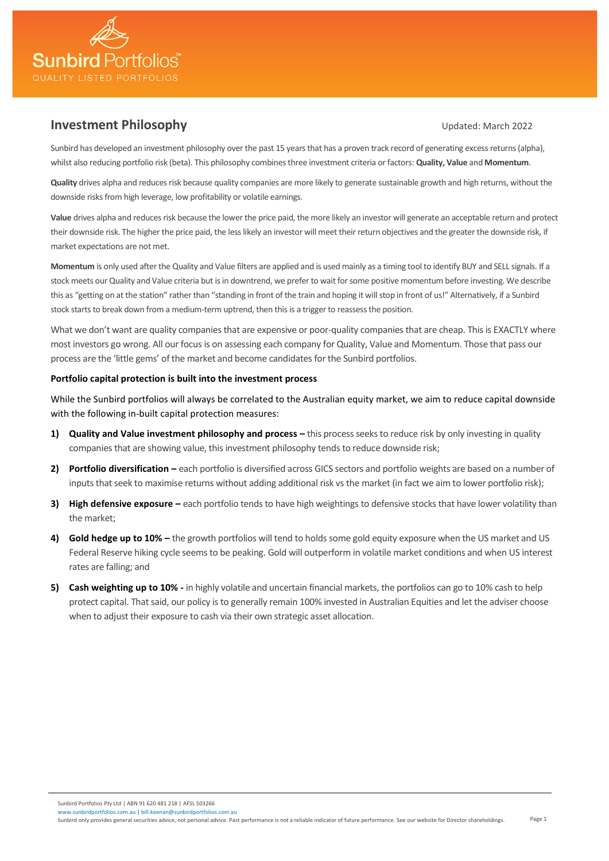

# **Investment Philosophy Investment Philosophy Updated: March 2022**

Sunbird has developed an investment philosophy over the past 15 years that has a proven track record of generating excess returns (alpha), whilst also reducing portfolio risk (beta). This philosophy combines three investment criteria or factors: **Quality, Value** and **Momentum**.

**Quality** drives alpha and reduces risk because quality companies are more likely to generate sustainable growth and high returns, without the downside risks from high leverage, low profitability or volatile earnings.

**Value** drives alpha and reduces risk because the lower the price paid, the more likely an investor will generate an acceptable return and protect their downside risk. The higher the price paid, the less likely an investor will meet their return objectives and the greater the downside risk, if market expectations are not met.

**Momentum** is only used after the Quality and Value filters are applied and is used mainly as a timing tool to identify BUY and SELL signals. If a stock meets our Quality and Value criteria but is in downtrend, we prefer to wait for some positive momentum before investing. We describe this as "getting on at the station" rather than "standing in front of the train and hoping it will stop in front of us!" Alternatively, if a Sunbird stock starts to break down from a medium-term uptrend, then this is a trigger to reassess the position.

What we don't want are quality companies that are expensive or poor-quality companies that are cheap. This is EXACTLY where most investors go wrong. All our focus is on assessing each company for Quality, Value and Momentum. Those that pass our process are the 'little gems' of the market and become candidates for the Sunbird portfolios.

## **Portfolio capital protection is built into the investment process**

While the Sunbird portfolios will always be correlated to the Australian equity market, we aim to reduce capital downside with the following in-built capital protection measures:

- **1) Quality and Value investment philosophy and process –** this process seeks to reduce risk by only investing in quality companies that are showing value, this investment philosophy tends to reduce downside risk;
- **2) Portfolio diversification –** each portfolio is diversified across GICS sectors and portfolio weights are based on a number of inputs that seek to maximise returns without adding additional risk vs the market (in fact we aim to lower portfolio risk);
- **3) High defensive exposure –** each portfolio tends to have high weightings to defensive stocks that have lower volatility than the market;
- **4) Gold hedge up to 10% –** the growth portfolios will tend to holdssome gold equity exposure when the US market and US Federal Reserve hiking cycle seems to be peaking. Gold will outperform in volatile market conditions and when US interest rates are falling; and
- **5) Cash weighting up to 10% -** in highly volatile and uncertain financial markets, the portfolios can go to 10% cash to help protect capital. That said, our policy is to generally remain 100% invested in Australian Equities and let the adviser choose when to adjust their exposure to cash via their own strategic asset allocation.

Sunbird Portfolios Pty Ltd | ABN 91 620 481 218 | AFSL 503266 irdportfolios.com.au [| bill.keenan@sunbirdportfolios.com.au](mailto:bill.keenan@sunbirdportfolios.com.au)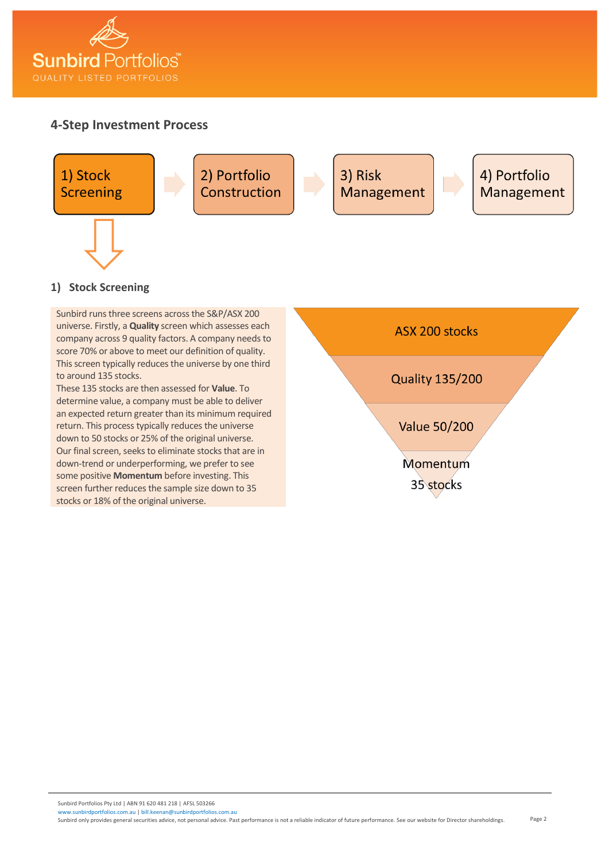

# **4-Step Investment Process**



# **1) Stock Screening**

Sunbird runs three screens across the S&P/ASX 200 universe. Firstly, a **Quality** screen which assesses each company across 9 quality factors. A company needs to score 70% or above to meet our definition of quality. This screen typically reduces the universe by one third to around 135 stocks.

These 135 stocks are then assessed for **Value**. To determine value, a company must be able to deliver an expected return greater than its minimum required return. This process typically reduces the universe down to 50 stocks or 25% of the original universe. Our final screen, seeks to eliminate stocks that are in down-trend or underperforming, we prefer to see some positive **Momentum** before investing. This screen further reduces the sample size down to 35 stocks or 18% of the original universe.

ASX 200 stocks **Quality 135/200** 

**Value 50/200** 

Momentum 35 stocks

Sunbird Portfolios Pty Ltd | ABN 91 620 481 218 | AFSL 503266 irdportfolios.com.au [| bill.keenan@sunbirdportfolios.com.au](mailto:bill.keenan@sunbirdportfolios.com.au)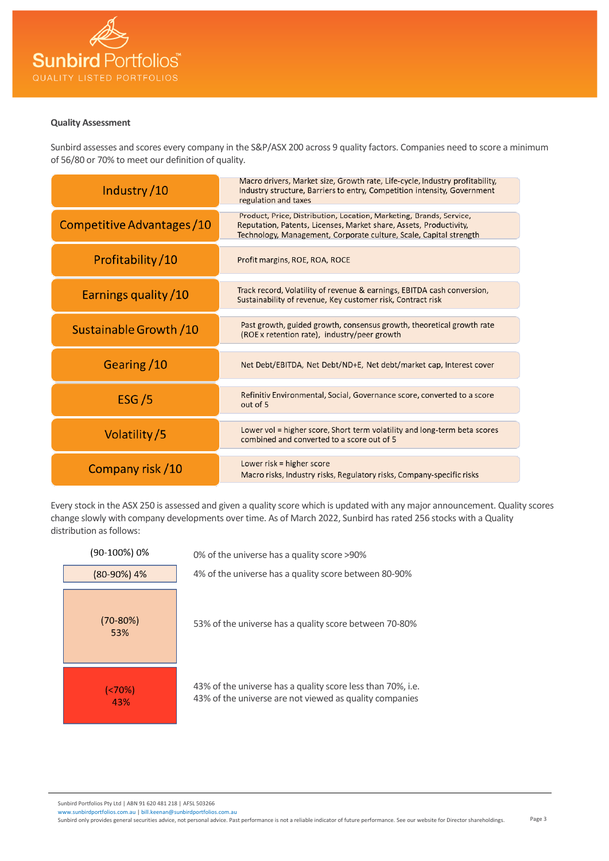

### **Quality Assessment**

Sunbird assesses and scores every company in the S&P/ASX 200 across 9 quality factors. Companies need to score a minimum of 56/80 or 70% to meet our definition of quality.

| Industry/10                 | Macro drivers, Market size, Growth rate, Life-cycle, Industry profitability,<br>Industry structure, Barriers to entry, Competition intensity, Government<br>regulation and taxes                                |
|-----------------------------|-----------------------------------------------------------------------------------------------------------------------------------------------------------------------------------------------------------------|
| Competitive Advantages / 10 | Product, Price, Distribution, Location, Marketing, Brands, Service,<br>Reputation, Patents, Licenses, Market share, Assets, Productivity,<br>Technology, Management, Corporate culture, Scale, Capital strength |
| Profitability/10            | Profit margins, ROE, ROA, ROCE                                                                                                                                                                                  |
| Earnings quality / 10       | Track record, Volatility of revenue & earnings, EBITDA cash conversion,<br>Sustainability of revenue, Key customer risk, Contract risk                                                                          |
| Sustainable Growth / 10     | Past growth, guided growth, consensus growth, theoretical growth rate<br>(ROE x retention rate), industry/peer growth                                                                                           |
| Gearing /10                 | Net Debt/EBITDA, Net Debt/ND+E, Net debt/market cap, Interest cover                                                                                                                                             |
| ESG/5                       | Refinitiv Environmental, Social, Governance score, converted to a score<br>out of 5                                                                                                                             |
| Volatility/5                | Lower vol = higher score, Short term volatility and long-term beta scores<br>combined and converted to a score out of 5                                                                                         |
| Company risk /10            | Lower risk $=$ higher score<br>Macro risks, Industry risks, Regulatory risks, Company-specific risks                                                                                                            |

Every stock in the ASX 250 is assessed and given a quality score which is updated with any major announcement. Quality scores change slowly with company developments over time. As of March 2022, Sunbird has rated 256 stocks with a Quality distribution as follows:



Sunbird Portfolios Pty Ltd | ABN 91 620 481 218 | AFSL 503266 nbirdportfolios.com.au [| bill.keenan@sunbirdportfolios.com.au](mailto:bill.keenan@sunbirdportfolios.com.au)

Page 3 Sunbird only provides general securities advice, not personal advice. Past performance is not a reliable indicator of future performance. See our website for Director shareholdings.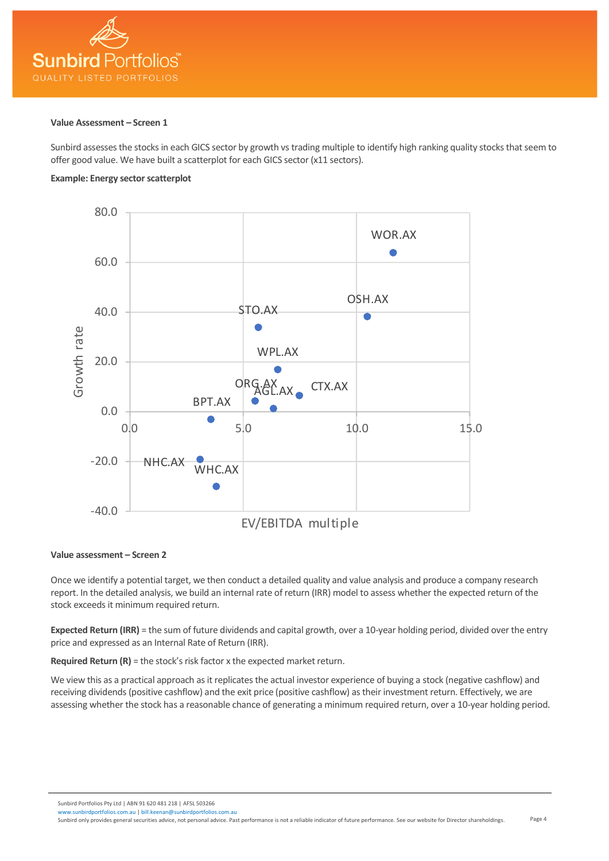

#### **Value Assessment – Screen 1**

Sunbird assesses the stocks in each GICS sector by growth vs trading multiple to identify high ranking quality stocks that seem to offer good value. We have built a scatterplot for each GICS sector (x11 sectors).

# **Example: Energy sector scatterplot**



### **Value assessment – Screen 2**

Once we identify a potential target, we then conduct a detailed quality and value analysis and produce a company research report. In the detailed analysis, we build an internal rate of return (IRR) model to assess whether the expected return of the stock exceeds it minimum required return.

**Expected Return (IRR)** = the sum of future dividends and capital growth, over a 10-year holding period, divided over the entry price and expressed as an Internal Rate of Return (IRR).

**Required Return (R)** = the stock's risk factor x the expected market return.

We view this as a practical approach as it replicates the actual investor experience of buying a stock (negative cashflow) and receiving dividends (positive cashflow) and the exit price (positive cashflow) as their investment return. Effectively, we are assessing whether the stock has a reasonable chance of generating a minimum required return, over a 10-year holding period.

Sunbird Portfolios Pty Ltd | ABN 91 620 481 218 | AFSL 503266

Page 4 irdportfolios.com.au [| bill.keenan@sunbirdportfolios.com.au](mailto:bill.keenan@sunbirdportfolios.com.au) Sunbird only provides general securities advice, not personal advice. Past performance is not a reliable indicator of future performance. See our website for Director shareholdings.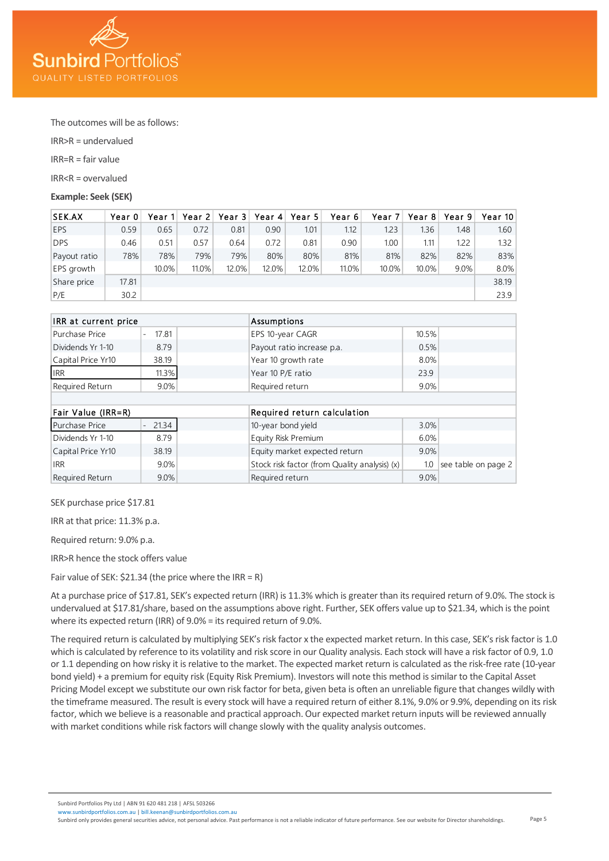

The outcomes will be as follows:

IRR>R = undervalued

IRR=R = fair value

IRR<R = overvalued

**Example: Seek (SEK)**

| <b>SEK.AX</b> | Year 0 | Year 11 | Year 21 | Year $31$ | Year 4 | Year 5 | Year 6 | Year 7            | Year 8 | Year 9 | Year 10 |
|---------------|--------|---------|---------|-----------|--------|--------|--------|-------------------|--------|--------|---------|
| <b>EPS</b>    | 0.59   | 0.65    | 0.72    | 0.81      | 0.90   | 1.01   | 1.12   | 1.23              | 1.36   | 1.48   | 1.60    |
| <b>DPS</b>    | 0.46   | 0.51    | 0.57    | 0.64      | 0.72   | 0.81   | 0.90   | 1.00 <sub>1</sub> | 1.11   | 1.22   | 1.32    |
| Payout ratio  | 78%    | 78%     | 79%     | 79%       | 80%    | 80%    | 81%    | 81%               | 82%    | 82%    | 83%     |
| EPS growth    |        | 10.0%   | 11.0%   | 12.0%     | 12.0%  | 12.0%  | 11.0%  | 10.0%             | 10.0%  | 9.0%   | 8.0%    |
| Share price   | 17.81  |         |         |           |        |        |        |                   |        |        | 38.19   |
| P/E           | 30.2   |         |         |           |        |        |        |                   |        |        | 23.9    |

| IRR at current price |       | Assumptions                 |                                               |       |                     |  |
|----------------------|-------|-----------------------------|-----------------------------------------------|-------|---------------------|--|
| Purchase Price       | 17.81 |                             | EPS 10-year CAGR                              | 10.5% |                     |  |
| Dividends Yr 1-10    | 8.79  |                             | Payout ratio increase p.a.                    | 0.5%  |                     |  |
| Capital Price Yr10   | 38.19 |                             | Year 10 growth rate                           | 8.0%  |                     |  |
| <b>IRR</b>           | 11.3% |                             | Year 10 P/E ratio                             | 23.9  |                     |  |
| Required Return      | 9.0%  |                             | Required return                               | 9.0%  |                     |  |
|                      |       |                             |                                               |       |                     |  |
| Fair Value (IRR=R)   |       | Required return calculation |                                               |       |                     |  |
| Purchase Price       | 21.34 |                             | 10-year bond yield                            | 3.0%  |                     |  |
| Dividends Yr 1-10    | 8.79  |                             | Equity Risk Premium                           | 6.0%  |                     |  |
| Capital Price Yr10   | 38.19 |                             | Equity market expected return                 | 9.0%  |                     |  |
| <b>IRR</b>           | 9.0%  |                             | Stock risk factor (from Quality analysis) (x) | 1.0   | see table on page 2 |  |
| Required Return      | 9.0%  |                             | Required return                               | 9.0%  |                     |  |

SEK purchase price \$17.81

IRR at that price: 11.3% p.a.

Required return: 9.0% p.a.

IRR>R hence the stock offers value

Fair value of SEK:  $$21.34$  (the price where the IRR = R)

At a purchase price of \$17.81, SEK's expected return (IRR) is 11.3% which is greater than its required return of 9.0%. The stock is undervalued at \$17.81/share, based on the assumptions above right. Further, SEK offers value up to \$21.34, which is the point where its expected return (IRR) of 9.0% = its required return of 9.0%.

The required return is calculated by multiplying SEK's risk factor x the expected market return. In this case, SEK's risk factor is 1.0 which is calculated by reference to its volatility and risk score in our Quality analysis. Each stock will have a risk factor of 0.9, 1.0 or 1.1 depending on how risky it is relative to the market. The expected market return is calculated as the risk-free rate (10-year bond yield) + a premium for equity risk (Equity Risk Premium). Investors will note this method is similar to the Capital Asset Pricing Model except we substitute our own risk factor for beta, given beta is often an unreliable figure that changes wildly with the timeframe measured. The result is every stock will have a required return of either 8.1%, 9.0% or 9.9%, depending on its risk factor, which we believe is a reasonable and practical approach. Our expected market return inputs will be reviewed annually with market conditions while risk factors will change slowly with the quality analysis outcomes.

Sunbird Portfolios Pty Ltd | ABN 91 620 481 218 | AFSL 503266

Page 5 irdportfolios.com.au | bill.keenan@sunbirdportfolios.com.a Sunbird only provides general securities advice, not personal advice. Past performance is not a reliable indicator of future performance. See our website for Director shareholdings.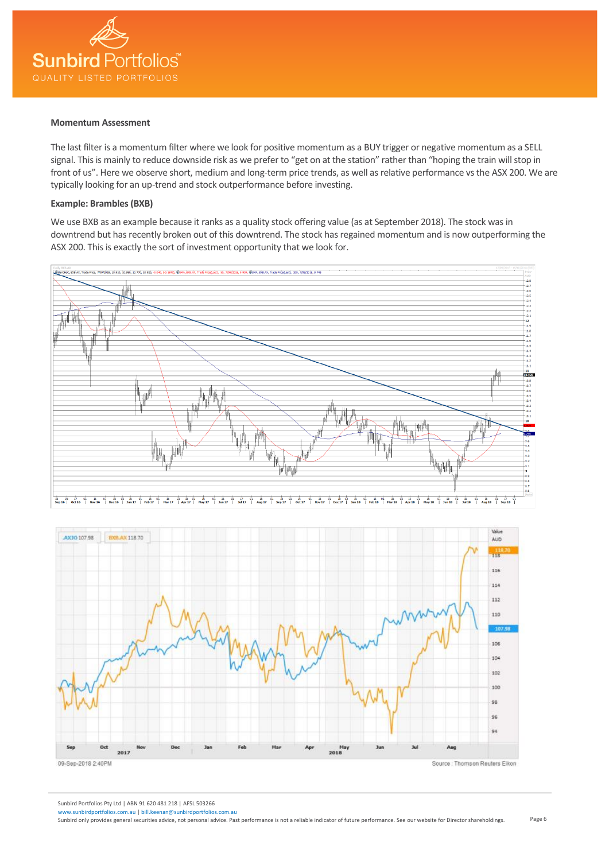

#### **Momentum Assessment**

The last filter is a momentum filter where we look for positive momentum as a BUY trigger or negative momentum as a SELL signal. This is mainly to reduce downside risk as we prefer to "get on at the station" rather than "hoping the train will stop in front of us". Here we observe short, medium and long-term price trends, as well as relative performance vs the ASX 200. We are typically looking for an up-trend and stock outperformance before investing.

## **Example: Brambles (BXB)**

We use BXB as an example because it ranks as a quality stock offering value (as at September 2018). The stock was in downtrend but has recently broken out of this downtrend. The stock has regained momentum and is now outperforming the ASX 200. This is exactly the sort of investment opportunity that we look for.





Sunbird Portfolios Pty Ltd | ABN 91 620 481 218 | AFSL 503266

Page 6

irdportfolios.com.au | bill.keenan@sunbirdportfolios.com.a Sunbird only provides general securities advice, not personal advice. Past performance is not a reliable indicator of future performance. See our website for Director shareholdings.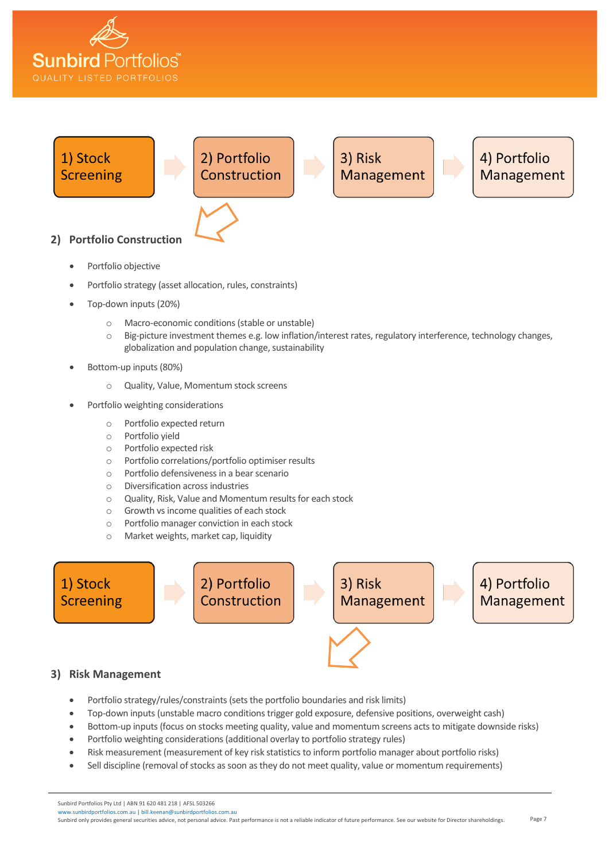



- Portfolio objective
- Portfolio strategy (asset allocation, rules, constraints)
- Top-down inputs (20%)
	- o Macro-economic conditions (stable or unstable)
	- o Big-picture investment themes e.g. low inflation/interest rates, regulatory interference, technology changes, globalization and population change, sustainability
- Bottom-up inputs (80%)
	- o Quality, Value, Momentum stock screens
- Portfolio weighting considerations
	- o Portfolio expected return
	- o Portfolio yield
	- o Portfolio expected risk
	- o Portfolio correlations/portfolio optimiser results
	- o Portfolio defensiveness in a bear scenario
	- o Diversification across industries
	- o Quality, Risk, Value and Momentum results for each stock
	- o Growth vs income qualities of each stock
	- o Portfolio manager conviction in each stock
	- o Market weights, market cap, liquidity

1) Stock 4) Portfolio 2) Portfolio 3) Risk Construction Management **Screening** Management

## **3) Risk Management**

- Portfolio strategy/rules/constraints (sets the portfolio boundaries and risk limits)
- Top-down inputs (unstable macro conditions trigger gold exposure, defensive positions, overweight cash)
- Bottom-up inputs (focus on stocks meeting quality, value and momentum screens acts to mitigate downside risks)
- Portfolio weighting considerations (additional overlay to portfolio strategy rules)
- Risk measurement (measurement of key risk statistics to inform portfolio manager about portfolio risks)
- Sell discipline (removal of stocks as soon as they do not meet quality, value or momentum requirements)

#### Sunbird Portfolios Pty Ltd | ABN 91 620 481 218 | AFSL 503266

irdportfolios.com.au | bill.keenan@sunbirdportfolios.com.a Sunbird only provides general securities advice, not personal advice. Past performance is not a reliable indicator of future performance. See our website for Director shareholdings.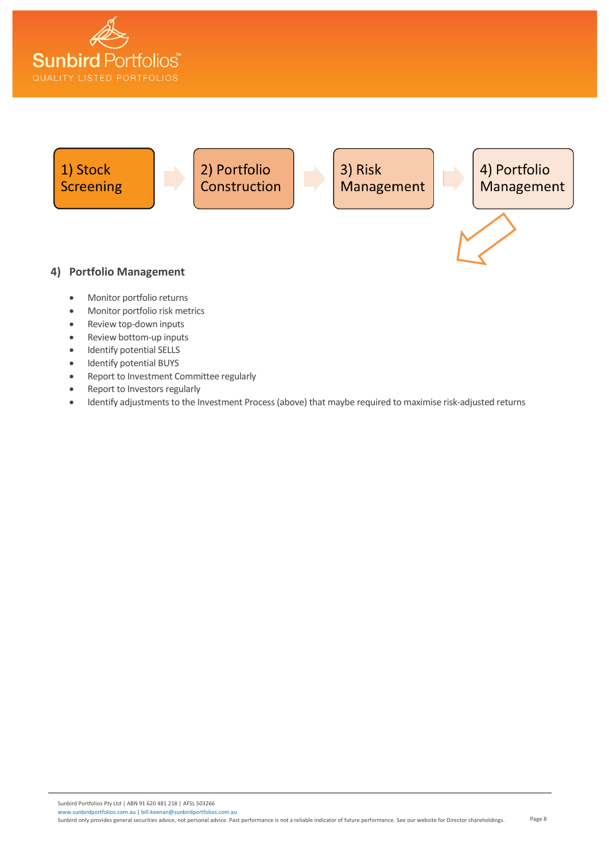



- Identify potential BUYS
- Report to Investment Committee regularly
- Report to Investors regularly
- Identify adjustments to the Investment Process(above) that maybe required to maximise risk-adjusted returns

Sunbird Portfolios Pty Ltd | ABN 91 620 481 218 | AFSL 503266 [www.sunbirdportfolios.com.au](http://www.sunbirdportfolios.com.au/) [| bill.keenan@sunbirdportfolios.com.au](mailto:bill.keenan@sunbirdportfolios.com.au)